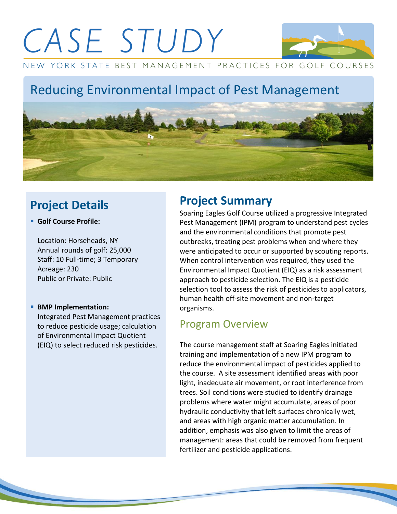

NEW YORK STATE BEST MANAGEMENT PRACTICES FOR GOLF COURSES

## Reducing Environmental Impact of Pest Management



### **Project Details**

**Golf Course Profile:**

Location: Horseheads, NY Annual rounds of golf: 25,000 Staff: 10 Full-time; 3 Temporary Acreage: 230 Public or Private: Public

#### **BMP Implementation:**

Integrated Pest Management practices to reduce pesticide usage; calculation of Environmental Impact Quotient (EIQ) to select reduced risk pesticides.

### **Project Summary**

Soaring Eagles Golf Course utilized a progressive Integrated Pest Management (IPM) program to understand pest cycles and the environmental conditions that promote pest outbreaks, treating pest problems when and where they were anticipated to occur or supported by scouting reports. When control intervention was required, they used the Environmental Impact Quotient (EIQ) as a risk assessment approach to pesticide selection. The EIQ is a pesticide selection tool to assess the risk of pesticides to applicators, human health off-site movement and non-target organisms.

#### Program Overview

The course management staff at Soaring Eagles initiated training and implementation of a new IPM program to reduce the environmental impact of pesticides applied to the course. A site assessment identified areas with poor light, inadequate air movement, or root interference from trees. Soil conditions were studied to identify drainage problems where water might accumulate, areas of poor hydraulic conductivity that left surfaces chronically wet, and areas with high organic matter accumulation. In addition, emphasis was also given to limit the areas of management: areas that could be removed from frequent fertilizer and pesticide applications.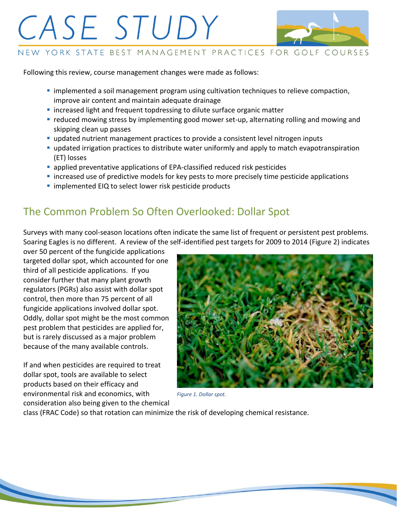

#### NEW YORK STATE BEST MANAGEMENT PRACTICES FOR GOLF COURSES

Following this review, course management changes were made as follows:

- **·** implemented a soil management program using cultivation techniques to relieve compaction, improve air content and maintain adequate drainage
- **I** increased light and frequent topdressing to dilute surface organic matter
- **reduced mowing stress by implementing good mower set-up, alternating rolling and mowing and** skipping clean up passes
- **updated nutrient management practices to provide a consistent level nitrogen inputs**
- updated irrigation practices to distribute water uniformly and apply to match evapotranspiration (ET) losses
- **applied preventative applications of EPA-classified reduced risk pesticides**
- **Example 2** increased use of predictive models for key pests to more precisely time pesticide applications
- **I** implemented EIQ to select lower risk pesticide products

### The Common Problem So Often Overlooked: Dollar Spot

Surveys with many cool-season locations often indicate the same list of frequent or persistent pest problems. Soaring Eagles is no different. A review of the self-identified pest targets for 2009 to 2014 (Figure 2) indicates

over 50 percent of the fungicide applications targeted dollar spot, which accounted for one third of all pesticide applications. If you consider further that many plant growth regulators (PGRs) also assist with dollar spot control, then more than 75 percent of all fungicide applications involved dollar spot. Oddly, dollar spot might be the most common pest problem that pesticides are applied for, but is rarely discussed as a major problem because of the many available controls.

If and when pesticides are required to treat dollar spot, tools are available to select products based on their efficacy and environmental risk and economics, with consideration also being given to the chemical



*Figure 1. Dollar spot.*

class (FRAC Code) so that rotation can minimize the risk of developing chemical resistance.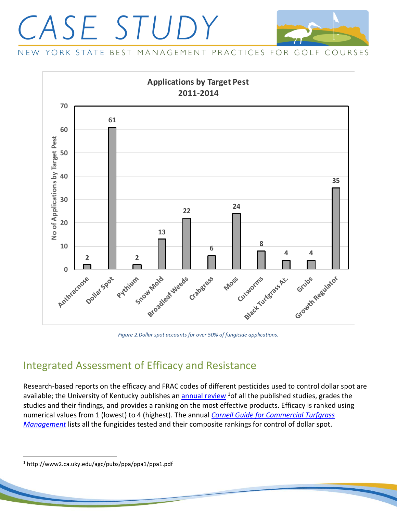

NEW YORK STATE BEST MANAGEMENT PRACTICES FOR GOLF COURSES



*Figure 2.Dollar spot accounts for over 50% of fungicide applications.*

#### Integrated Assessment of Efficacy and Resistance

Research-based reports on the efficacy and FRAC codes of different pesticides used to control dollar spot are available; the University of Kentucky publishes an **annual review** <sup>1</sup> of all the published studies, grades the studies and their findings, and provides a ranking on the most effective products. Efficacy is ranked using numerical values from 1 (lowest) to 4 (highest). The annual *[Cornell Guide for Commercial Turfgrass](http://turf.cals.cornell.edu/pests-and-weeds/)  [Management](http://turf.cals.cornell.edu/pests-and-weeds/)* lists all the fungicides tested and their composite rankings for control of dollar spot.

 $\overline{a}$ 

<sup>1</sup> http://www2.ca.uky.edu/agc/pubs/ppa/ppa1/ppa1.pdf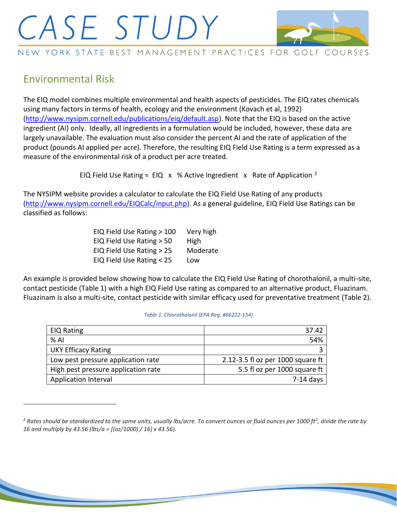

NEW YORK STATE BEST MANAGEMENT PRACTICES FOR GOLF COURSES

#### Environmental Risk

 $\overline{a}$ 

The EIQ model combines multiple environmental and health aspects of pesticides. The EIQ rates chemicals using many factors in terms of health, ecology and the environment (Kovach et al, 1992) [\(http://www.nysipm.cornell.edu/publications/eiq/default.asp\)](http://www.nysipm.cornell.edu/publications/eiq/default.asp). Note that the EIQ is based on the active ingredient (AI) only. Ideally, all ingredients in a formulation would be included, however, these data are largely unavailable. The evaluation must also consider the percent AI and the rate of application of the product (pounds AI applied per acre). Therefore, the resulting EIQ Field Use Rating is a term expressed as a measure of the environmental risk of a product per acre treated.

EIQ Field Use Rating = EIQ  $\times$  % Active Ingredient  $\times$  Rate of Application <sup>2</sup>

The NYSIPM website provides a calculator to calculate the EIQ Field Use Rating of any products [\(http://www.nysipm.cornell.edu/EIQCalc/input.php\)](http://www.nysipm.cornell.edu/EIQCalc/input.php). As a general guideline, EIQ Field Use Ratings can be classified as follows:

| EIQ Field Use Rating > 100 | Very high |
|----------------------------|-----------|
| EIQ Field Use Rating > 50  | High      |
| EIQ Field Use Rating > 25  | Moderate  |
| EIQ Field Use Rating < 25  | Low       |

An example is provided below showing how to calculate the EIQ Field Use Rating of chorothalonil, a multi-site, contact pesticide (Table 1) with a high EIQ Field Use rating as compared to an alternative product, Fluazinam. Fluazinam is also a multi-site, contact pesticide with similar efficacy used for preventative treatment (Table 2).

| <b>EIQ Rating</b>                   | 37.42                             |
|-------------------------------------|-----------------------------------|
| $%$ Al                              | 54%                               |
| <b>UKY Efficacy Rating</b>          |                                   |
| Low pest pressure application rate  | 2.12-3.5 fl oz per 1000 square ft |
| High pest pressure application rate | 5.5 fl oz per 1000 square ft      |
| <b>Application Interval</b>         | $7-14$ days                       |

#### *Table 1. Chlorothalonil (EPA Reg. #66222-154)*

*<sup>2</sup> Rates should be standardized to the same units, usually lbs/acre. To convert ounces or fluid ounces per 1000 ft<sup>2</sup> , divide the rate by 16 and multiply by 43.56 (lbs/a = [(oz/1000) / 16] x 43.56).*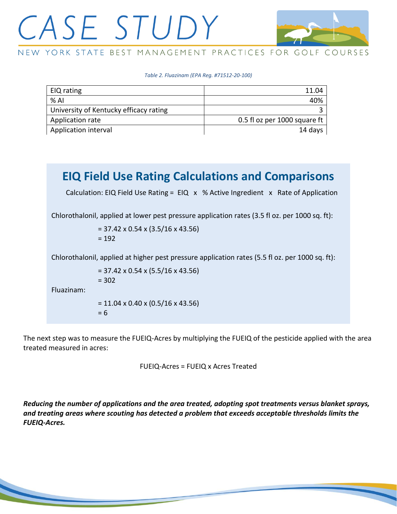

NEW YORK STATE BEST MANAGEMENT PRACTICES FOR GOLF COURSES

*Table 2. Fluazinam (EPA Reg. #71512-20-100)*

| EIQ rating                             | 11.04                        |
|----------------------------------------|------------------------------|
| % Al                                   | 40%                          |
| University of Kentucky efficacy rating |                              |
| Application rate                       | 0.5 fl oz per 1000 square ft |
| Application interval                   | 14 days                      |

### **EIQ Field Use Rating Calculations and Comparisons**

Calculation: EIQ Field Use Rating = EIQ  $\times$  % Active Ingredient  $\times$  Rate of Application

Chlorothalonil, applied at lower pest pressure application rates (3.5 fl oz. per 1000 sq. ft):

= 37.42 x 0.54 x (3.5/16 x 43.56)  $= 192$ 

Chlorothalonil, applied at higher pest pressure application rates (5.5 fl oz. per 1000 sq. ft):

$$
= 37.42 \times 0.54 \times (5.5/16 \times 43.56)
$$
  
= 302  

$$
= 11.04 \times 0.40 \times (0.5/16 \times 43.56)
$$
  
= 6

Fluazinam:

The next step was to measure the FUEIQ-Acres by multiplying the FUEIQ of the pesticide applied with the area treated measured in acres:

FUEIQ-Acres = FUEIQ x Acres Treated

*Reducing the number of applications and the area treated, adopting spot treatments versus blanket sprays, and treating areas where scouting has detected a problem that exceeds acceptable thresholds limits the FUEIQ-Acres.*